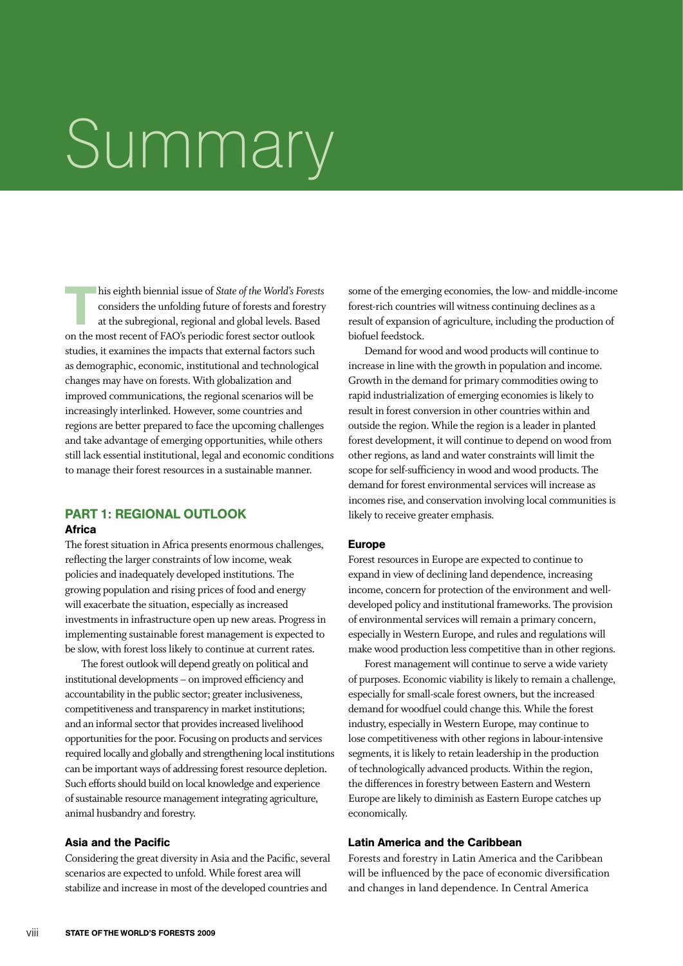# Summary

his eighth biennial issue of *State of the World's Forests*<br>considers the unfolding future of forests and forestry<br>at the subregional, regional and global levels. Based<br>on the mest meant of EAO's pariodis forest sector out considers the unfolding future of forests and forestry at the subregional, regional and global levels. Based on the most recent of FAO's periodic forest sector outlook studies, it examines the impacts that external factors such as demographic, economic, institutional and technological changes may have on forests. With globalization and improved communications, the regional scenarios will be increasingly interlinked. However, some countries and regions are better prepared to face the upcoming challenges and take advantage of emerging opportunities, while others still lack essential institutional, legal and economic conditions to manage their forest resources in a sustainable manner.

# Part 1: Regional outlook **Africa**

The forest situation in Africa presents enormous challenges, reflecting the larger constraints of low income, weak policies and inadequately developed institutions. The growing population and rising prices of food and energy will exacerbate the situation, especially as increased investments in infrastructure open up new areas. Progress in implementing sustainable forest management is expected to be slow, with forest loss likely to continue at current rates.

The forest outlookwill depend greatly on political and institutional developments – on improved efficiency and accountability in the public sector; greater inclusiveness, competitiveness and transparency in market institutions; and an informal sector that provides increased livelihood opportunities for the poor. Focusing on products and services required locally and globally and strengthening local institutions can be important ways of addressing forest resource depletion. Such efforts should build on local knowledge and experience of sustainable resource management integrating agriculture, animal husbandry and forestry.

#### Asia and the Pacific

Considering the great diversity in Asia and the Pacific, several scenarios are expected to unfold. While forest area will stabilize and increase in most of the developed countries and

some of the emerging economies, the low- and middle-income forest-rich countries will witness continuing declines as a result of expansion of agriculture, including the production of biofuel feedstock.

Demand for wood and wood products will continue to increase in line with the growth in population and income. Growth in the demand for primary commodities owing to rapid industrialization of emerging economies is likely to result in forest conversion in other countries within and outside the region. While the region is a leader in planted forest development, it will continue to depend on wood from other regions, as land and water constraints will limit the scope for self-sufficiency in wood and wood products. The demand for forest environmental services will increase as incomes rise, and conservation involving local communities is likely to receive greater emphasis.

#### Europe

Forest resources in Europe are expected to continue to expand in view of declining land dependence, increasing income, concern for protection of the environment and welldeveloped policy and institutional frameworks. The provision of environmental services will remain a primary concern, especially in Western Europe, and rules and regulations will make wood production less competitive than in other regions.

Forest management will continue to serve a wide variety of purposes. Economic viability is likely to remain a challenge, especially for small-scale forest owners, but the increased demand for woodfuel could change this. While the forest industry, especially in Western Europe, may continue to lose competitiveness with other regions in labour-intensive segments, it is likely to retain leadership in the production of technologically advanced products. Within the region, the differences in forestry between Eastern and Western Europe are likely to diminish as Eastern Europe catches up economically.

#### Latin America and the Caribbean

Forests and forestry in Latin America and the Caribbean will be influenced by the pace of economic diversification and changes in land dependence. In Central America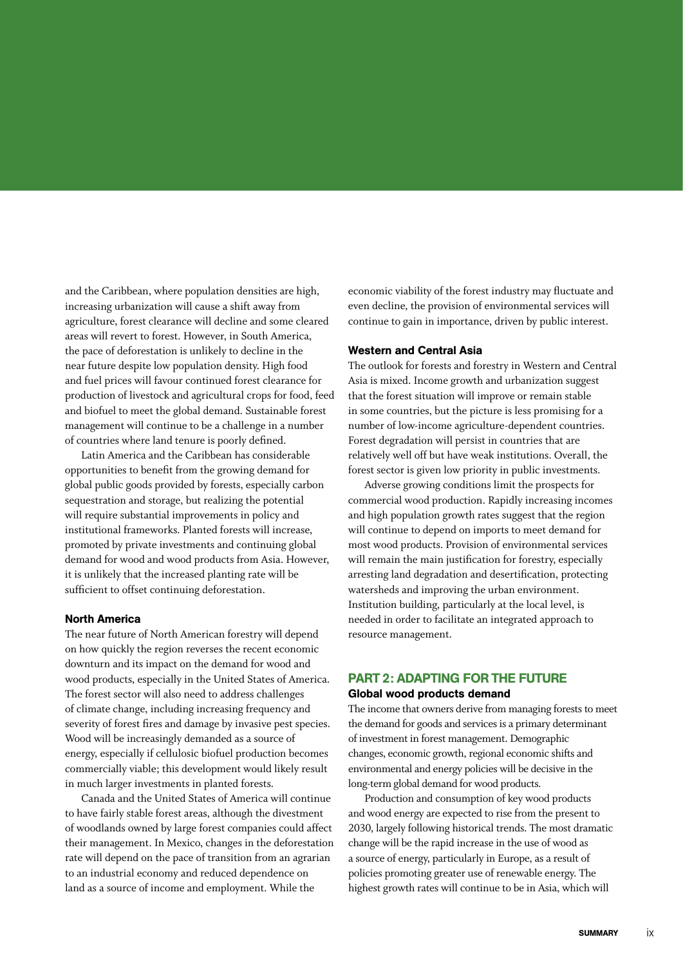and the Caribbean, where population densities are high, increasing urbanization will cause a shift away from agriculture, forest clearance will decline and some cleared areas will revert to forest. However, in South America, the pace of deforestation is unlikely to decline in the near future despite low population density. High food and fuel prices will favour continued forest clearance for production of livestock and agricultural crops for food, feed and biofuel to meet the global demand. Sustainable forest management will continue to be a challenge in a number of countries where land tenure is poorly defined.

Latin America and the Caribbean has considerable opportunities to benefit from the growing demand for global public goods provided by forests, especially carbon sequestration and storage, but realizing the potential will require substantial improvements in policy and institutional frameworks. Planted forests will increase, promoted by private investments and continuing global demand for wood and wood products from Asia. However, it is unlikely that the increased planting rate will be sufficient to offset continuing deforestation.

#### North America

The near future of North American forestry will depend on how quickly the region reverses the recent economic downturn and its impact on the demand for wood and wood products, especially in the United States of America. The forest sector will also need to address challenges of climate change, including increasing frequency and severity of forest fires and damage by invasive pest species. Wood will be increasingly demanded as a source of energy, especially if cellulosic biofuel production becomes commercially viable; this development would likely result in much larger investments in planted forests.

Canada and the United States of America will continue to have fairly stable forest areas, although the divestment of woodlands owned by large forest companies could affect their management. In Mexico, changes in the deforestation rate will depend on the pace of transition from an agrarian to an industrial economy and reduced dependence on land as a source of income and employment. While the

economic viability of the forest industry may fluctuate and even decline, the provision of environmental services will continue to gain in importance, driven by public interest.

#### Western and Central Asia

The outlook for forests and forestry in Western and Central Asia is mixed. Income growth and urbanization suggest that the forest situation will improve or remain stable in some countries, but the picture is less promising for a number of low-income agriculture-dependent countries. Forest degradation will persist in countries that are relatively well off but have weak institutions. Overall, the forest sector is given low priority in public investments.

Adverse growing conditions limit the prospects for commercial wood production. Rapidly increasing incomes and high population growth rates suggest that the region will continue to depend on imports to meet demand for most wood products. Provision of environmental services will remain the main justification for forestry, especially arresting land degradation and desertification, protecting watersheds and improving the urban environment. Institution building, particularly at the local level, is needed in order to facilitate an integrated approach to resource management.

# Part 2: Adapting for the future Global wood products demand

The income that owners derive from managing forests to meet the demand for goods and services is a primary determinant of investment in forest management. Demographic changes, economic growth, regional economic shifts and environmental and energy policies will be decisive in the long-term global demand for wood products.

Production and consumption of key wood products and wood energy are expected to rise from the present to 2030, largely following historical trends. The most dramatic change will be the rapid increase in the use of wood as a source of energy, particularly in Europe, as a result of policies promoting greater use of renewable energy. The highest growth rates will continue to be in Asia, which will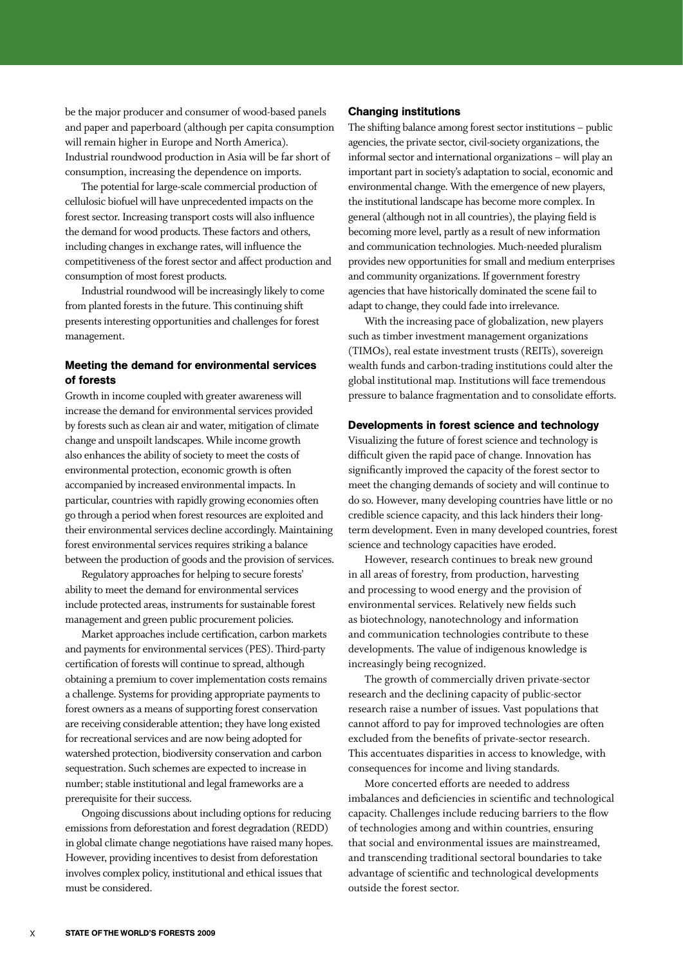be the major producer and consumer of wood-based panels and paper and paperboard (although per capita consumption will remain higher in Europe and North America). Industrial roundwood production in Asia will be far short of consumption, increasing the dependence on imports.

The potential for large-scale commercial production of cellulosic biofuel will have unprecedented impacts on the forest sector. Increasing transport costs will also influence the demand for wood products. These factors and others, including changes in exchange rates, will influence the competitiveness of the forest sector and affect production and consumption of most forest products.

Industrial roundwood will be increasingly likely to come from planted forests in the future. This continuing shift presents interesting opportunities and challenges for forest management.

### Meeting the demand for environmental services of forests

Growth in income coupled with greater awareness will increase the demand for environmental services provided by forests such as clean air and water, mitigation of climate change and unspoilt landscapes. While income growth also enhances the ability of society to meet the costs of environmental protection, economic growth is often accompanied by increased environmental impacts. In particular, countries with rapidly growing economies often go through a period when forest resources are exploited and their environmental services decline accordingly. Maintaining forest environmental services requires striking a balance between the production of goods and the provision of services.

Regulatory approaches for helping to secure forests' ability to meet the demand for environmental services include protected areas, instruments for sustainable forest management and green public procurement policies.

Market approaches include certification, carbon markets and payments for environmental services (PES). Third-party certification of forests will continue to spread, although obtaining a premium to cover implementation costs remains a challenge. Systems for providing appropriate payments to forest owners as a means of supporting forest conservation are receiving considerable attention; they have long existed for recreational services and are now being adopted for watershed protection, biodiversity conservation and carbon sequestration. Such schemes are expected to increase in number; stable institutional and legal frameworks are a prerequisite for their success.

Ongoing discussions about including options for reducing emissions from deforestation and forest degradation (REDD) in global climate change negotiations have raised many hopes. However, providing incentives to desist from deforestation involves complex policy, institutional and ethical issues that must be considered.

#### Changing institutions

The shifting balance among forest sector institutions – public agencies, the private sector, civil-society organizations, the informal sector and international organizations – will play an important part in society's adaptation to social, economic and environmental change. With the emergence of new players, the institutional landscape has become more complex. In general (although not in all countries), the playing field is becoming more level, partly as a result of new information and communication technologies. Much-needed pluralism provides new opportunities for small and medium enterprises and community organizations. If government forestry agencies that have historically dominated the scene fail to adapt to change, they could fade into irrelevance.

With the increasing pace of globalization, new players such as timber investment management organizations (TIMOs), real estate investment trusts (REITs), sovereign wealth funds and carbon-trading institutions could alter the global institutional map. Institutions will face tremendous pressure to balance fragmentation and to consolidate efforts.

#### Developments in forest science and technology

Visualizing the future of forest science and technology is difficult given the rapid pace of change. Innovation has significantly improved the capacity of the forest sector to meet the changing demands of society and will continue to do so. However, many developing countries have little or no credible science capacity, and this lack hinders their longterm development. Even in many developed countries, forest science and technology capacities have eroded.

However, research continues to break new ground in all areas of forestry, from production, harvesting and processing to wood energy and the provision of environmental services. Relatively new fields such as biotechnology, nanotechnology and information and communication technologies contribute to these developments. The value of indigenous knowledge is increasingly being recognized.

The growth of commercially driven private-sector research and the declining capacity of public-sector research raise a number of issues. Vast populations that cannot afford to pay for improved technologies are often excluded from the benefits of private-sector research. This accentuates disparities in access to knowledge, with consequences for income and living standards.

More concerted efforts are needed to address imbalances and deficiencies in scientific and technological capacity. Challenges include reducing barriers to the flow of technologies among and within countries, ensuring that social and environmental issues are mainstreamed, and transcending traditional sectoral boundaries to take advantage of scientific and technological developments outside the forest sector.